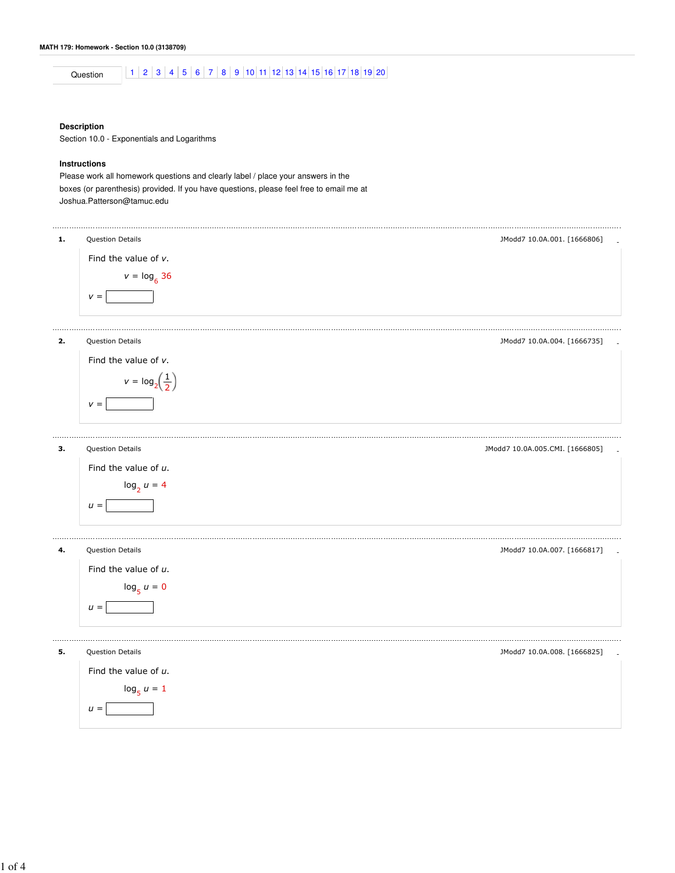Question 1 2 3 4 5 6 7 8 9 10 11 12 13 14 15 16 17 18 19 20

#### **Description**

Section 10.0 - Exponentials and Logarithms

#### **Instructions**

Please work all homework questions and clearly label / place your answers in the boxes (or parenthesis) provided. If you have questions, please feel free to email me at Joshua.Patterson@tamuc.edu

| 1. | Question Details                     | JModd7 10.0A.001. [1666806]     |
|----|--------------------------------------|---------------------------------|
|    | Find the value of $v$ .              |                                 |
|    | $v = \log_{6} 36$                    |                                 |
|    | $V =$                                |                                 |
| 2. | Question Details                     | JModd7 10.0A.004. [1666735]     |
|    | Find the value of v.                 |                                 |
|    | $v = \log_2\left(\frac{1}{2}\right)$ |                                 |
|    | $V =$                                |                                 |
| з. | Question Details                     | JModd7 10.0A.005.CMI. [1666805] |
|    | Find the value of u.                 |                                 |
|    | $\log_2 u = 4$                       |                                 |
|    | $U =$                                |                                 |
| 4. | Question Details                     | JModd7 10.0A.007. [1666817]     |
|    | Find the value of $u$ .              |                                 |
|    | $\log_5 u = 0$                       |                                 |
|    | $u =$                                |                                 |
| 5. | Question Details                     | JModd7 10.0A.008. [1666825]     |



1 of 4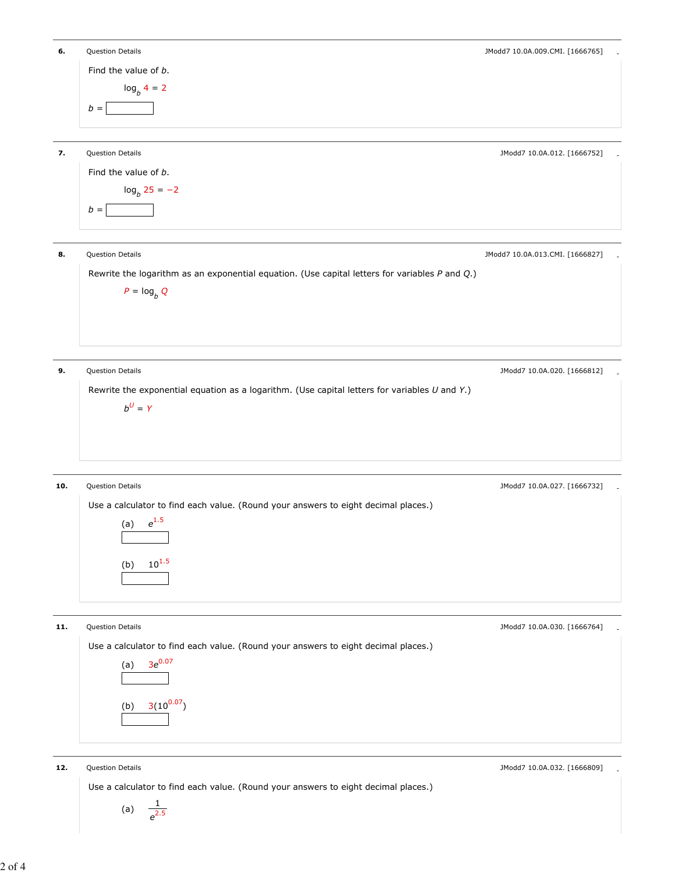| 6. | Question Details     | JModd7 10.0A.009.CMI. [1666765] |  |
|----|----------------------|---------------------------------|--|
|    | Find the value of b. |                                 |  |
|    | $\log_b 4 = 2$       |                                 |  |
|    | $b =$                |                                 |  |
|    |                      |                                 |  |
|    |                      |                                 |  |

| 7. | Question Details     | JModd7 10.0A.012. [1666752]<br>$\sim$ |
|----|----------------------|---------------------------------------|
|    | Find the value of b. |                                       |
|    | $logb 25 = -2$       |                                       |
|    | $b =$                |                                       |
|    |                      |                                       |

**8.** Question Details - Cuessian Details - Cuessian Details - Cuessian Details - Cuessian Details - Cuessian Details - Cuessian Details - Cuessian Details - Cuessian Details - Cuessian Details - Cuessian Details - Cuessian

Rewrite the logarithm as an exponential equation. (Use capital letters for variables  $P$  and  $Q$ .)

 $P = \log_b Q$ 

**9.** Question Details **Alternative Control** Control of the Security Control of the Modd7 10.0A.020. [1666812]

Rewrite the exponential equation as a logarithm. (Use capital letters for variables  $U$  and  $Y$ .)

 $b^{\mathsf{U}}= \mathsf{Y}$ 

### **10.** Question Details **2006 10.0A.027.** [1666732]

Use a calculator to find each value. (Round your answers to eight decimal places.)



11. Question Details - JModd7 10.0A.030. [1666764]

Use a calculator to find each value. (Round your answers to eight decimal places.)



12. Question Details - JModd7 10.0A.032. [1666809]

Use a calculator to find each value. (Round your answers to eight decimal places.)

(a)  $\frac{1}{e^{2.5}}$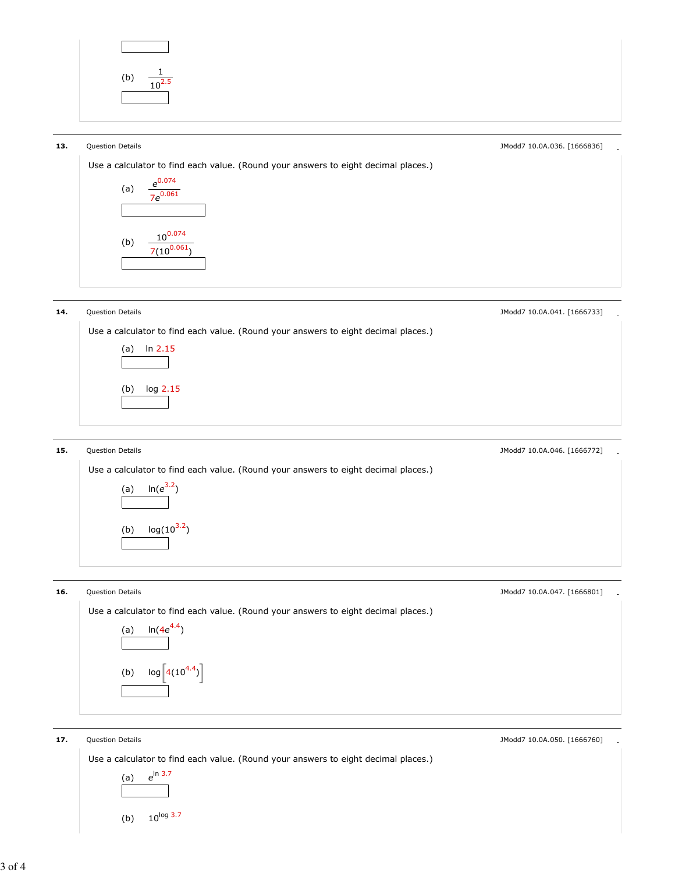

(a)

e 0.074 7e 0.061

 $10^{0.074}$  $7(10^{0.061})$ 

(b)

# 13. Question Details **Authority Contract Contract Contract Contract Contract Contract Contract Contract Contract Contract Contract Contract Contract Contract Contract Contract Contract Contract Contract Contract Contract C** Use a calculator to find each value. (Round your answers to eight decimal places.)





## 15. Question Details **- Alternative Control of Control Control** of the Modd7 10.0A.046. [1666772] 1.

Use a calculator to find each value. (Round your answers to eight decimal places.)



**16.** Question Details **2006 10.0A.047.** [1666801] **16. 11.1 11.1 11.1 11.1 11.1 11.1 11.1 11.1 11.1 11.1 11.1 11.1 11.1 11.1 11.1 11.1 11.1 11.1 11.1 11.1 11.1 11.1 11.1 1** 

Use a calculator to find each value. (Round your answers to eight decimal places.)



17. Question Details **- Alternative Controller Controller** - Model 2010 - Modd7 10.0A.050. [1666760] Use a calculator to find each value. (Round your answers to eight decimal places.) (a) (b) e ln 3.7  $10^{log 3.7}$